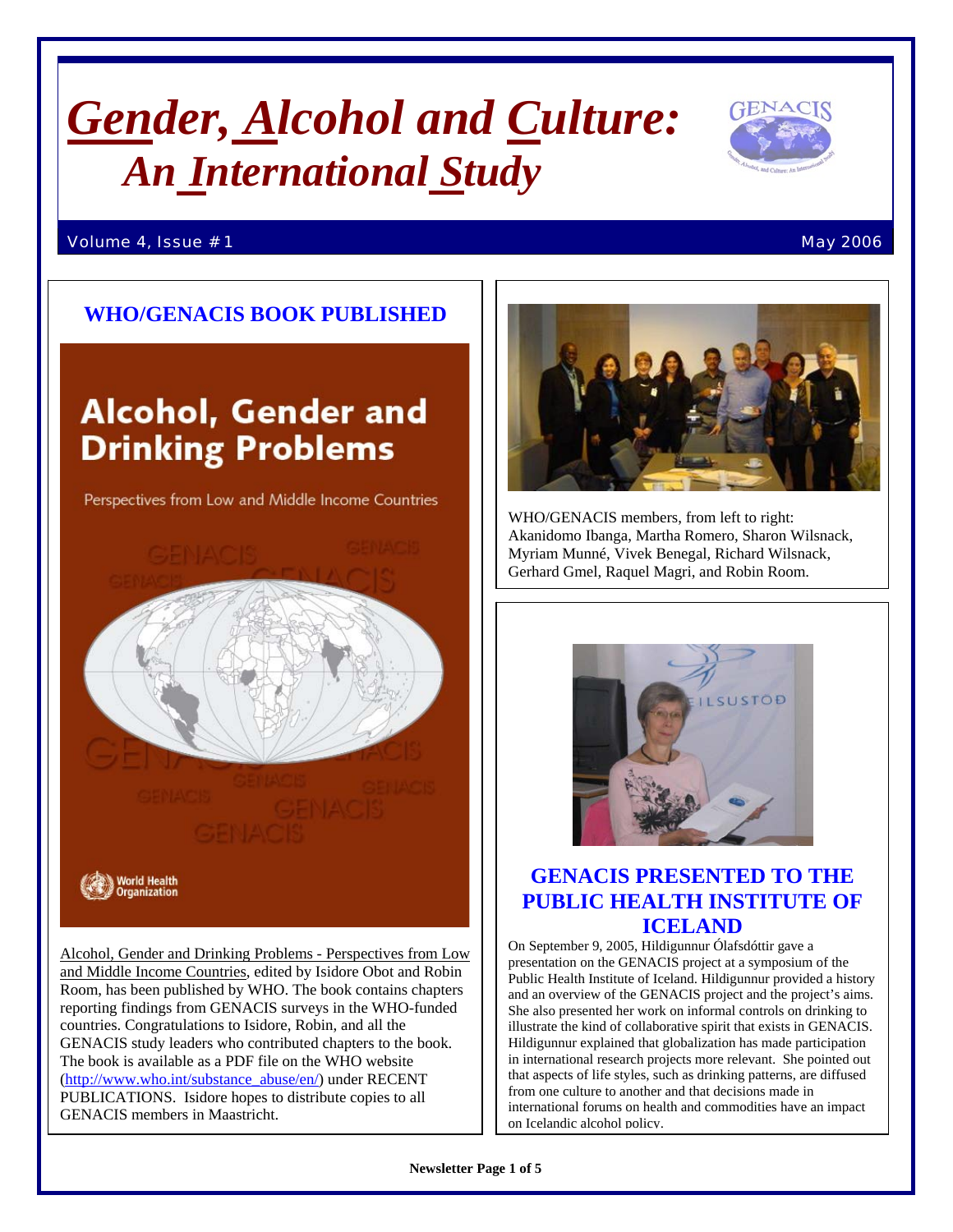# *Gender, Alcohol and Culture: An International Study*



## Volume 4, Issue # 1  $\blacksquare$

## **WHO/GENACIS BOOK PUBLISHED**

## **Alcohol, Gender and Drinking Problems**

Perspectives from Low and Middle Income Countries



Alcohol, Gender and Drinking Problems - Perspectives from Low and Middle Income Countries, edited by Isidore Obot and Robin Room, has been published by WHO. The book contains chapters reporting findings from GENACIS surveys in the WHO-funded countries. Congratulations to Isidore, Robin, and all the GENACIS study leaders who contributed chapters to the book. The book is available as a PDF file on the WHO website ([http://www.who.int/substance\\_abuse/en/\)](http://www.who.int/substance_abuse/en/) under RECENT PUBLICATIONS. Isidore hopes to distribute copies to all GENACIS members in Maastricht.



WHO/GENACIS members, from left to right: Akanidomo Ibanga, Martha Romero, Sharon Wilsnack, Myriam Munné, Vivek Benegal, Richard Wilsnack, Gerhard Gmel, Raquel Magri, and Robin Room.



## **GENACIS PRESENTED TO THE PUBLIC HEALTH INSTITUTE OF ICELAND**

On September 9, 2005, Hildigunnur Ólafsdóttir gave a presentation on the GENACIS project at a symposium of the Public Health Institute of Iceland. Hildigunnur provided a history and an overview of the GENACIS project and the project's aims. She also presented her work on informal controls on drinking to illustrate the kind of collaborative spirit that exists in GENACIS. Hildigunnur explained that globalization has made participation in international research projects more relevant. She pointed out that aspects of life styles, such as drinking patterns, are diffused from one culture to another and that decisions made in international forums on health and commodities have an impact on Icelandic alcohol policy.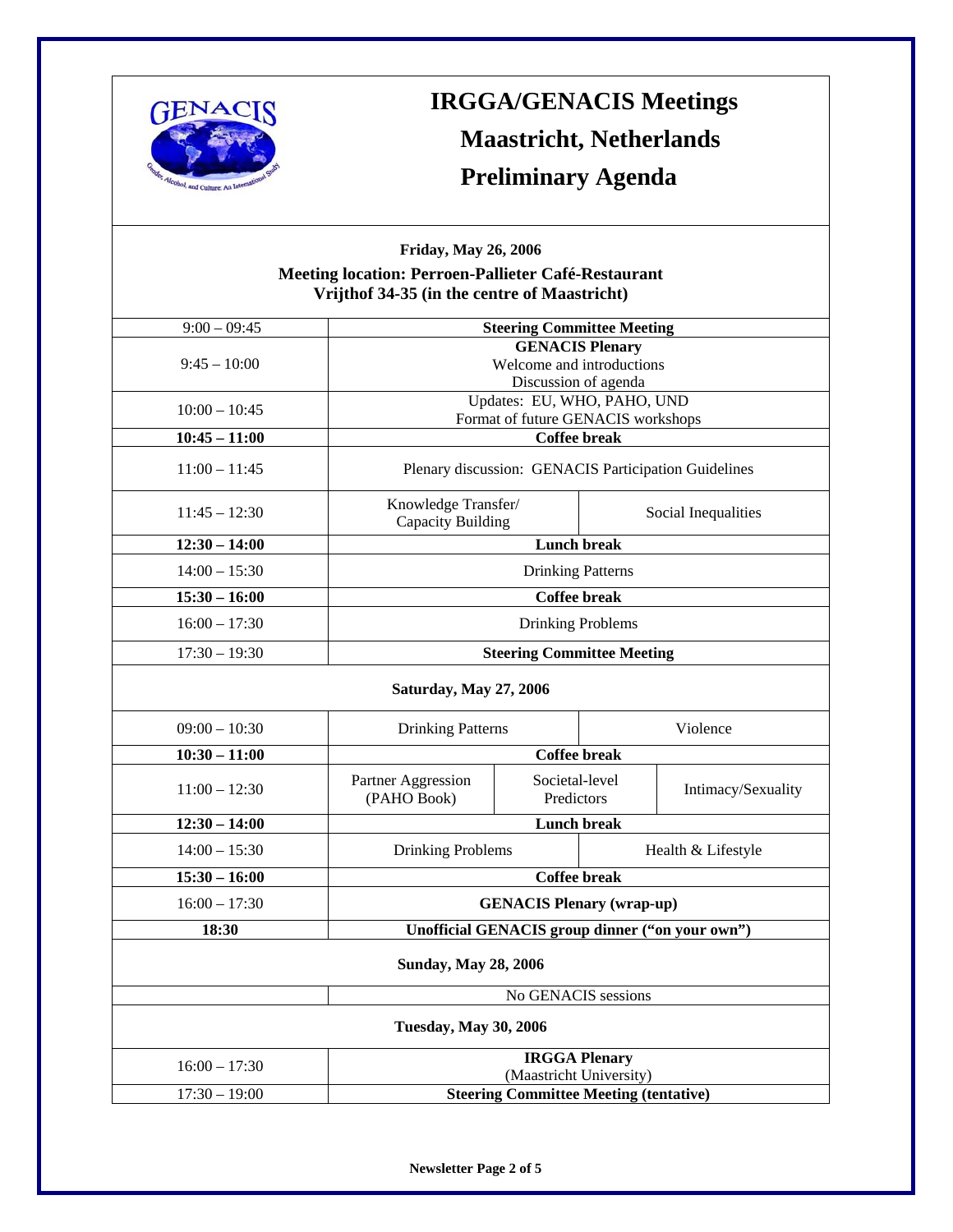

## **IRGGA/GENACIS Meetings Maastricht, Netherlands Preliminary Agenda**

## **Friday, May 26, 2006 Meeting location: Perroen-Pallieter Café-Restaurant Vrijthof 34-35 (in the centre of Maastricht)**

| $9:00 - 09:45$                | <b>Steering Committee Meeting</b>                         |                              |                     |                    |
|-------------------------------|-----------------------------------------------------------|------------------------------|---------------------|--------------------|
|                               | <b>GENACIS Plenary</b>                                    |                              |                     |                    |
| $9:45 - 10:00$                | Welcome and introductions                                 |                              |                     |                    |
|                               | Discussion of agenda                                      |                              |                     |                    |
| $10:00 - 10:45$               | Updates: EU, WHO, PAHO, UND                               |                              |                     |                    |
| $10:45 - 11:00$               | Format of future GENACIS workshops<br><b>Coffee break</b> |                              |                     |                    |
|                               |                                                           |                              |                     |                    |
| $11:00 - 11:45$               | Plenary discussion: GENACIS Participation Guidelines      |                              |                     |                    |
| $11:45 - 12:30$               | Knowledge Transfer/<br>Capacity Building                  |                              | Social Inequalities |                    |
| $12:30 - 14:00$               | <b>Lunch break</b>                                        |                              |                     |                    |
|                               |                                                           |                              |                     |                    |
| $14:00 - 15:30$               | <b>Drinking Patterns</b>                                  |                              |                     |                    |
| $15:30 - 16:00$               | <b>Coffee break</b>                                       |                              |                     |                    |
| $16:00 - 17:30$               | Drinking Problems                                         |                              |                     |                    |
| $17:30 - 19:30$               | <b>Steering Committee Meeting</b>                         |                              |                     |                    |
| <b>Saturday, May 27, 2006</b> |                                                           |                              |                     |                    |
| $09:00 - 10:30$               | <b>Drinking Patterns</b>                                  |                              | Violence            |                    |
| $10:30 - 11:00$               | <b>Coffee break</b>                                       |                              |                     |                    |
| $11:00 - 12:30$               | Partner Aggression<br>(PAHO Book)                         | Societal-level<br>Predictors |                     | Intimacy/Sexuality |
| $12:30 - 14:00$               | <b>Lunch break</b>                                        |                              |                     |                    |
| $14:00 - 15:30$               | <b>Drinking Problems</b><br>Health & Lifestyle            |                              |                     |                    |
| $15:30 - 16:00$               | <b>Coffee break</b>                                       |                              |                     |                    |
| $16:00 - 17:30$               | <b>GENACIS Plenary (wrap-up)</b>                          |                              |                     |                    |
| 18:30                         | Unofficial GENACIS group dinner ("on your own")           |                              |                     |                    |
| <b>Sunday, May 28, 2006</b>   |                                                           |                              |                     |                    |
| No GENACIS sessions           |                                                           |                              |                     |                    |
| <b>Tuesday, May 30, 2006</b>  |                                                           |                              |                     |                    |
|                               | <b>IRGGA Plenary</b>                                      |                              |                     |                    |
| $16:00 - 17:30$               | (Maastricht University)                                   |                              |                     |                    |
| $17:30 - 19:00$               | <b>Steering Committee Meeting (tentative)</b>             |                              |                     |                    |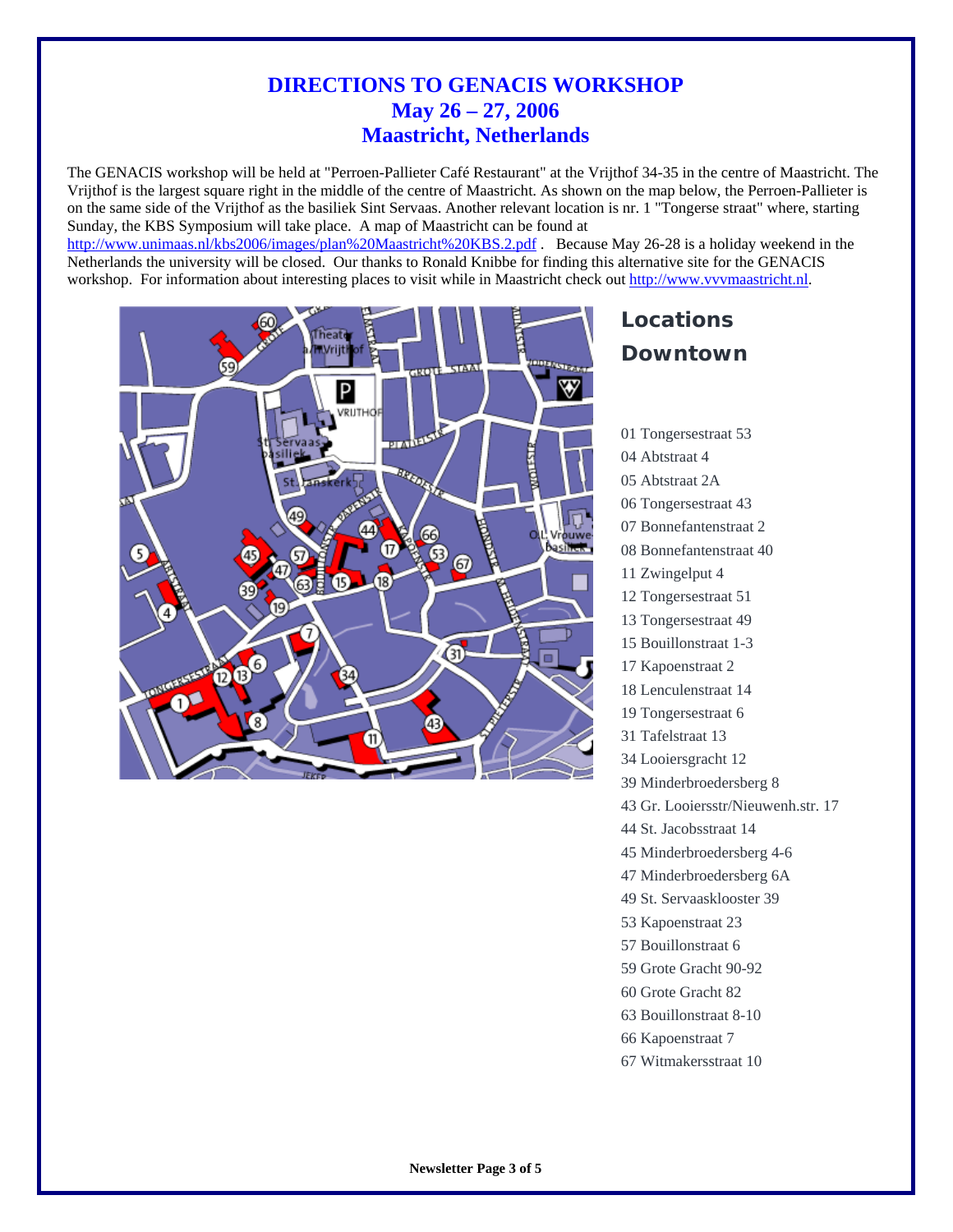## **DIRECTIONS TO GENACIS WORKSHOP May 26 – 27, 2006 Maastricht, Netherlands**

The GENACIS workshop will be held at "Perroen-Pallieter Café Restaurant" at the Vrijthof 34-35 in the centre of Maastricht. The Vrijthof is the largest square right in the middle of the centre of Maastricht. As shown on the map below, the Perroen-Pallieter is on the same side of the Vrijthof as the basiliek Sint Servaas. Another relevant location is nr. 1 "Tongerse straat" where, starting Sunday, the KBS Symposium will take place. A map of Maastricht can be found at

<http://www.unimaas.nl/kbs2006/images/plan%20Maastricht%20KBS.2.pdf>. Because May 26-28 is a holiday weekend in the Netherlands the university will be closed. Our thanks to Ronald Knibbe for finding this alternative site for the GENACIS workshop. For information about interesting places to visit while in Maastricht check out [http://www.vvvmaastricht.nl](http://www.vvvmaastricht.nl/).



## **Locations Downtown**

01 Tongersestraat 53 04 Abtstraat 4 05 Abtstraat 2A 06 Tongersestraat 43 07 Bonnefantenstraat 2 08 Bonnefantenstraat 40 11 Zwingelput 4 12 Tongersestraat 51 13 Tongersestraat 49 15 Bouillonstraat 1-3 17 Kapoenstraat 2 18 Lenculenstraat 14 19 Tongersestraat 6 31 Tafelstraat 13 34 Looiersgracht 12 39 Minderbroedersberg 8 43 Gr. Looiersstr/Nieuwenh.str. 17 44 St. Jacobsstraat 14 45 Minderbroedersberg 4-6 47 Minderbroedersberg 6A 49 St. Servaasklooster 39 53 Kapoenstraat 23 57 Bouillonstraat 6 59 Grote Gracht 90-92 60 Grote Gracht 82 63 Bouillonstraat 8-10 66 Kapoenstraat 7 67 Witmakersstraat 10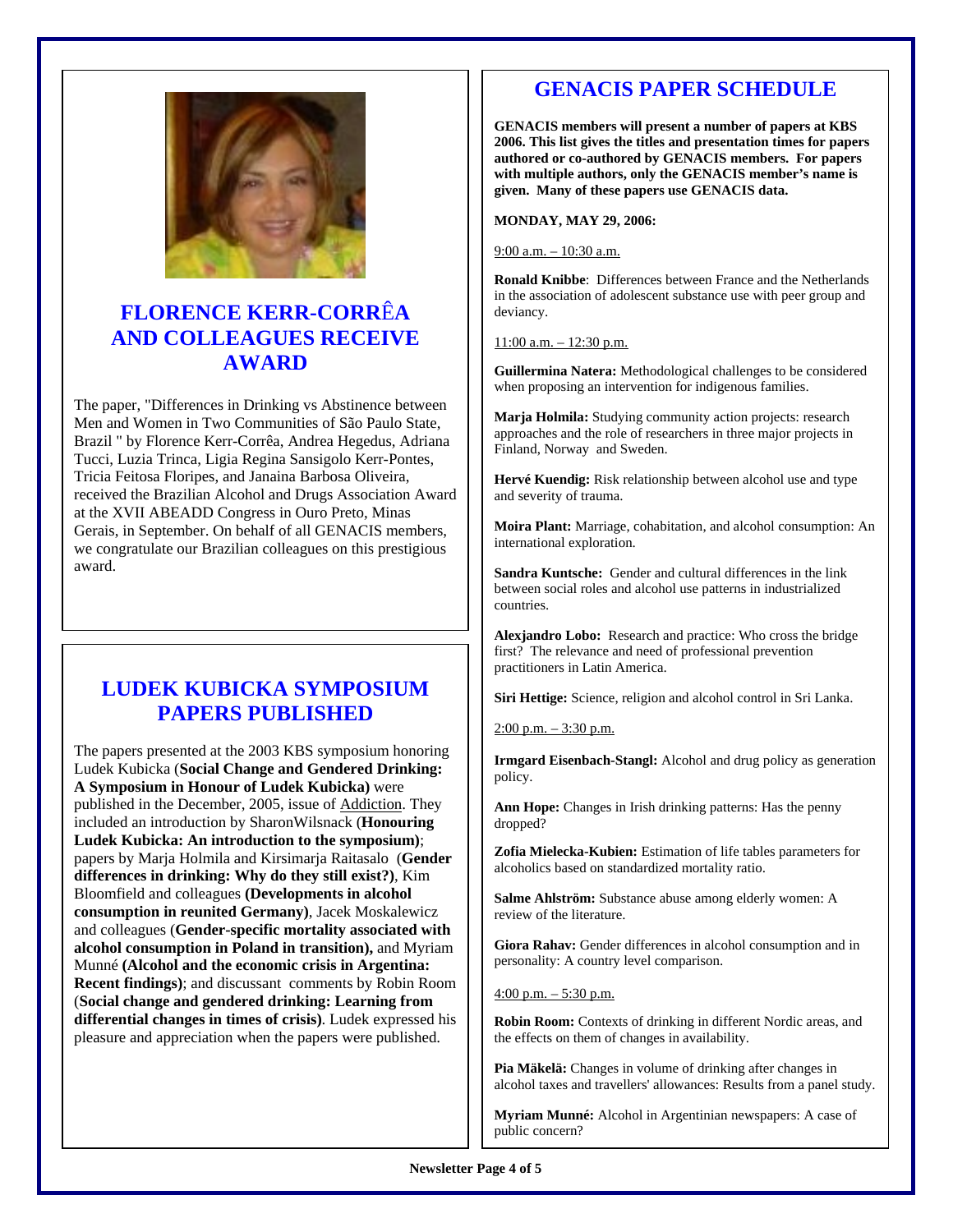

## **FLORENCE KERR-CORR**Ê**A AND COLLEAGUES RECEIVE AWARD**

The paper, "Differences in Drinking vs Abstinence between Men and Women in Two Communities of São Paulo State, Brazil " by Florence Kerr-Corrêa, Andrea Hegedus, Adriana Tucci, Luzia Trinca, Ligia Regina Sansigolo Kerr-Pontes, Tricia Feitosa Floripes, and Janaina Barbosa Oliveira, received the Brazilian Alcohol and Drugs Association Award at the XVII ABEADD Congress in Ouro Preto, Minas Gerais, in September. On behalf of all GENACIS members, we congratulate our Brazilian colleagues on this prestigious award.

## **LUDEK KUBICKA SYMPOSIUM PAPERS PUBLISHED**

The papers presented at the 2003 KBS symposium honoring Ludek Kubicka (**Social Change and Gendered Drinking: A Symposium in Honour of Ludek Kubicka)** were published in the December, 2005, issue of Addiction. They included an introduction by SharonWilsnack (**Honouring Ludek Kubicka: An introduction to the symposium)**; papers by Marja Holmila and Kirsimarja Raitasalo (**Gender differences in drinking: Why do they still exist?)**, Kim Bloomfield and colleagues **(Developments in alcohol consumption in reunited Germany)**, Jacek Moskalewicz and colleagues (**Gender-specific mortality associated with alcohol consumption in Poland in transition),** and Myriam Munné **(Alcohol and the economic crisis in Argentina: Recent findings)**; and discussant comments by Robin Room (**Social change and gendered drinking: Learning from differential changes in times of crisis)**. Ludek expressed his pleasure and appreciation when the papers were published.

## **GENACIS PAPER SCHEDULE**

**GENACIS members will present a number of papers at KBS 2006. This list gives the titles and presentation times for papers authored or co-authored by GENACIS members. For papers with multiple authors, only the GENACIS member's name is given. Many of these papers use GENACIS data.** 

**MONDAY, MAY 29, 2006:** 

9:00 a.m. – 10:30 a.m.

**Ronald Knibbe**: Differences between France and the Netherlands in the association of adolescent substance use with peer group and deviancy.

11:00 a.m. – 12:30 p.m.

**Guillermina Natera:** Methodological challenges to be considered when proposing an intervention for indigenous families.

**Marja Holmila:** Studying community action projects: research approaches and the role of researchers in three major projects in Finland, Norway and Sweden.

**Hervé Kuendig:** Risk relationship between alcohol use and type and severity of trauma.

**Moira Plant:** Marriage, cohabitation, and alcohol consumption: An international exploration.

**Sandra Kuntsche:** Gender and cultural differences in the link between social roles and alcohol use patterns in industrialized countries.

**Alexjandro Lobo:** Research and practice: Who cross the bridge first? The relevance and need of professional prevention practitioners in Latin America.

**Siri Hettige:** Science, religion and alcohol control in Sri Lanka.

 $2:00$  p.m.  $-3:30$  p.m.

**Irmgard Eisenbach-Stangl:** Alcohol and drug policy as generation policy.

**Ann Hope:** Changes in Irish drinking patterns: Has the penny dropped?

**Zofia Mielecka-Kubien:** Estimation of life tables parameters for alcoholics based on standardized mortality ratio.

**Salme Ahlström:** Substance abuse among elderly women: A review of the literature.

**Giora Rahav:** Gender differences in alcohol consumption and in personality: A country level comparison.

 $4:00$  p.m.  $-5:30$  p.m.

**Robin Room:** Contexts of drinking in different Nordic areas, and the effects on them of changes in availability.

**Pia Mäkelä:** Changes in volume of drinking after changes in alcohol taxes and travellers' allowances: Results from a panel study.

**Myriam Munné:** Alcohol in Argentinian newspapers: A case of public concern?